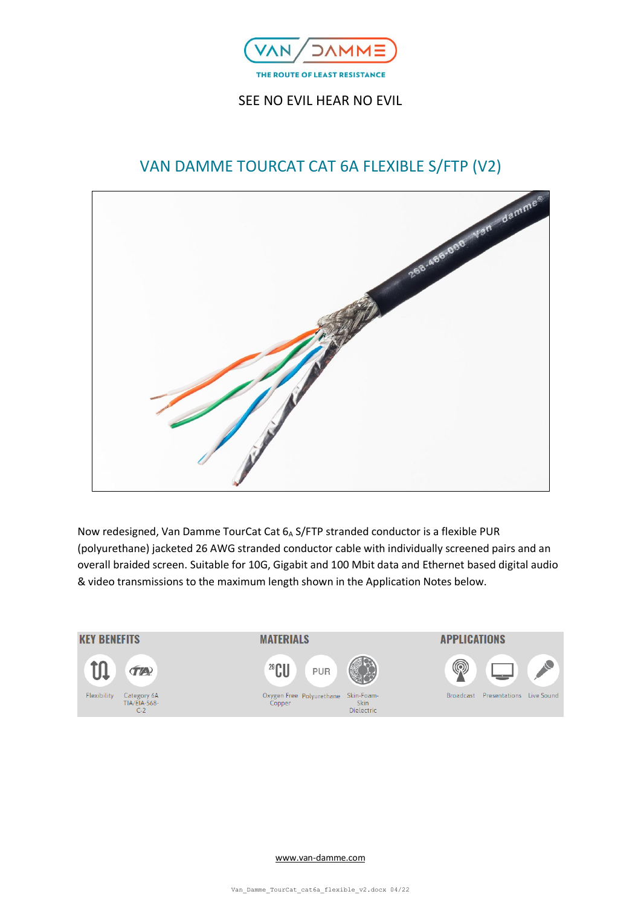

# SEE NO EVIL HEAR NO EVIL



Now redesigned, Van Damme TourCat Cat 6A S/FTP stranded conductor is a flexible PUR (polyurethane) jacketed 26 AWG stranded conductor cable with individually screened pairs and an overall braided screen. Suitable for 10G, Gigabit and 100 Mbit data and Ethernet based digital audio & video transmissions to the maximum length shown in the Application Notes below.

#### **KEY BENEFITS**



**MATERIALS** 





 $Skin$ Dielectric





[www.van-damme.com](http://www.van-damme.com/)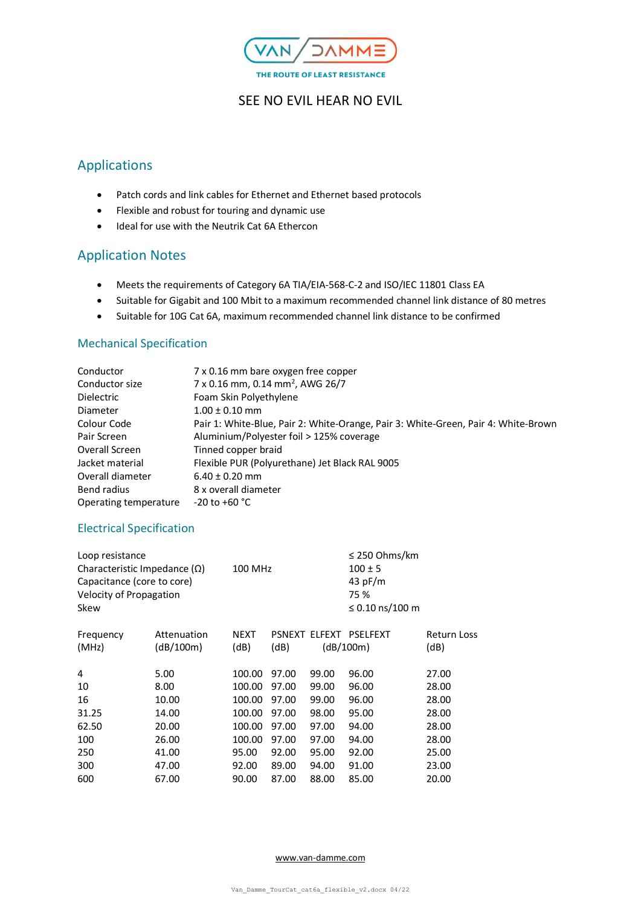

## SEE NO EVIL HEAR NO EVIL

# Applications

- Patch cords and link cables for Ethernet and Ethernet based protocols
- Flexible and robust for touring and dynamic use
- Ideal for use with the Neutrik Cat 6A Ethercon

## Application Notes

- Meets the requirements of Category 6A TIA/EIA-568-C-2 and ISO/IEC 11801 Class EA
- Suitable for Gigabit and 100 Mbit to a maximum recommended channel link distance of 80 metres
- Suitable for 10G Cat 6A, maximum recommended channel link distance to be confirmed

## Mechanical Specification

| Conductor             | 7 x 0.16 mm bare oxygen free copper                                                |
|-----------------------|------------------------------------------------------------------------------------|
| Conductor size        | 7 x 0.16 mm, 0.14 mm <sup>2</sup> , AWG 26/7                                       |
| <b>Dielectric</b>     | Foam Skin Polyethylene                                                             |
| Diameter              | $1.00 \pm 0.10$ mm                                                                 |
| Colour Code           | Pair 1: White-Blue, Pair 2: White-Orange, Pair 3: White-Green, Pair 4: White-Brown |
| Pair Screen           | Aluminium/Polyester foil > 125% coverage                                           |
| Overall Screen        | Tinned copper braid                                                                |
| Jacket material       | Flexible PUR (Polyurethane) Jet Black RAL 9005                                     |
| Overall diameter      | $6.40 \pm 0.20$ mm                                                                 |
| Bend radius           | 8 x overall diameter                                                               |
| Operating temperature | $-20$ to $+60$ °C                                                                  |

#### Electrical Specification

| Loop resistance<br>Characteristic Impedance $(\Omega)$<br>Capacitance (core to core)<br>Velocity of Propagation<br>Skew |             | 100 MHz     |               |       | $\leq$ 250 Ohms/km<br>$100 \pm 5$<br>43 pF/m<br>75 %<br>≤ 0.10 ns/100 m |                    |
|-------------------------------------------------------------------------------------------------------------------------|-------------|-------------|---------------|-------|-------------------------------------------------------------------------|--------------------|
| Frequency                                                                                                               | Attenuation | <b>NEXT</b> | <b>PSNEXT</b> |       | ELFEXT PSELFEXT                                                         | <b>Return Loss</b> |
| (MHz)                                                                                                                   | (dB/100m)   | (dB)        | (dB)          |       | (dB/100m)                                                               | (dB)               |
| 4                                                                                                                       | 5.00        | 100.00      | 97.00         | 99.00 | 96.00                                                                   | 27.00              |
| 10                                                                                                                      | 8.00        | 100.00      | 97.00         | 99.00 | 96.00                                                                   | 28.00              |
| 16                                                                                                                      | 10.00       | 100.00      | 97.00         | 99.00 | 96.00                                                                   | 28.00              |
| 31.25                                                                                                                   | 14.00       | 100.00      | 97.00         | 98.00 | 95.00                                                                   | 28.00              |
| 62.50                                                                                                                   | 20.00       | 100.00      | 97.00         | 97.00 | 94.00                                                                   | 28.00              |
| 100                                                                                                                     | 26.00       | 100.00      | 97.00         | 97.00 | 94.00                                                                   | 28.00              |
| 250                                                                                                                     | 41.00       | 95.00       | 92.00         | 95.00 | 92.00                                                                   | 25.00              |
| 300                                                                                                                     | 47.00       | 92.00       | 89.00         | 94.00 | 91.00                                                                   | 23.00              |
| 600                                                                                                                     | 67.00       | 90.00       | 87.00         | 88.00 | 85.00                                                                   | 20.00              |
|                                                                                                                         |             |             |               |       |                                                                         |                    |

#### [www.van-damme.com](http://www.van-damme.com/)